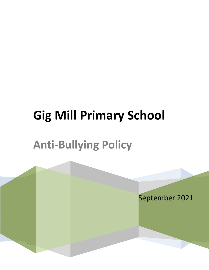# **Gig Mill Primary School**

## **Anti-Bullying Policy**

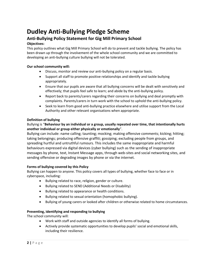### **Dudley Anti-Bullying Pledge Scheme**

#### **Anti-Bullying Policy Statement for Gig Mill Primary School**

#### **Objectives:**

This policy outlines what Gig Mill Primary School will do to prevent and tackle bullying. The policy has been drawn up through the involvement of the whole school community and we are committed to developing an anti-bullying culture bullying will not be tolerated.

#### **Our school community will:**

- Discuss, monitor and review our anti-bullying policy on a regular basis.
- Support all staff to promote positive relationships and identify and tackle bullying appropriately.
- Ensure that our pupils are aware that all bullying concerns will be dealt with sensitively and effectively; that pupils feel safe to learn; and abide by the anti-bullying policy.
- Report back to parents/carers regarding their concerns on bullying and deal promptly with complaints. Parents/carers in turn work with the school to uphold the anti-bullying policy.
- Seek to learn from good anti-bullying practice elsewhere and utilise support from the Local Authority and other relevant organisations when appropriate.

#### **Definition of bullying**

#### Bullying is "**Behaviour by an individual or a group, usually repeated over time, that intentionally hurts another individual or group either physically or emotionally**".

Bullying can include: name calling; taunting; mocking; making offensive comments; kicking; hitting; taking belongings; producing offensive graffiti; gossiping; excluding people from groups, and spreading hurtful and untruthful rumours. This includes the same inappropriate and harmful behaviours expressed via digital devices (cyber bullying) such as the sending of inappropriate messages by phone, text, Instant Message apps, through web-sites and social networking sites, and sending offensive or degrading images by phone or via the internet.

#### **Forms of bullying covered by this Policy**

Bullying can happen to anyone. This policy covers all types of bullying, whether face to face or in cyberspace, including:

- Bullying related to race, religion, gender or culture.
- Bullying related to SEND (Additional Needs or Disability)
- Bullying related to appearance or health conditions.
- Bullying related to sexual orientation (homophobic bullying).
- Bullying of young carers or looked after children or otherwise related to home circumstances.

#### **Preventing, identifying and responding to bullying**

The school community will:

- Work with staff and outside agencies to identify all forms of bullying.
- Actively provide systematic opportunities to develop pupils' social and emotional skills, including their resilience.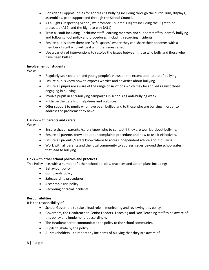- Consider all opportunities for addressing bullying including through the curriculum, displays, assemblies, peer support and through the School Council.
- As a Rights Respecting School, we promote Children's Rights including the Right to be protected (A19) and the Right to play (A31)
- Train all staff including lunchtime staff, learning mentors and support staff to identify bullying and follow school policy and procedures, including recording incidents.
- Ensure pupils know there are "safe spaces" where they can share their concerns with a member of staff who will deal with the issues raised.
- Use a variety of interventions to resolve the issues between those who bully and those who have been bullied.

#### **Involvement of students**

We will:

- Regularly seek children and young people's views on the extent and nature of bullying.
- Ensure pupils know how to express worries and anxieties about bullying.
- Ensure all pupils are aware of the range of sanctions which may be applied against those engaging in bullying.
- Involve pupils in anti-bullying campaigns in schools eg anti-bullying week.
- Publicise the details of help-lines and websites.
- Offer support to pupils who have been bullied and to those who are bullying in order to address the problems they have.

#### **Liaison with parents and carers**

We will:

- Ensure that all parents /carers know who to contact if they are worried about bullying.
- Ensure all parents know about our complaints procedure and how to use it effectively.
- Ensure all parents /carers know where to access independent advice about bullying.
- Work with all parents and the local community to address issues beyond the school gates that lead to bullying.

#### **Links with other school policies and practices**

This Policy links with a number of other school policies, practices and action plans including:

- Behaviour policy
- Complaints policy
- Safeguarding procedures
- Acceptable use policy
- Recording of racial incidents

#### **Responsibilities**

It is the responsibility of:

- School Governors to take a lead role in monitoring and reviewing this policy.
- Governors, the Headteacher, Senior Leaders, Teaching and Non-Teaching staff to be aware of this policy and implement it accordingly.
- The Headteacher to communicate the policy to the school community.
- $\bullet$  Pupils to abide by the policy.
- All stakeholders to report any incidents of bullying that they are aware of.